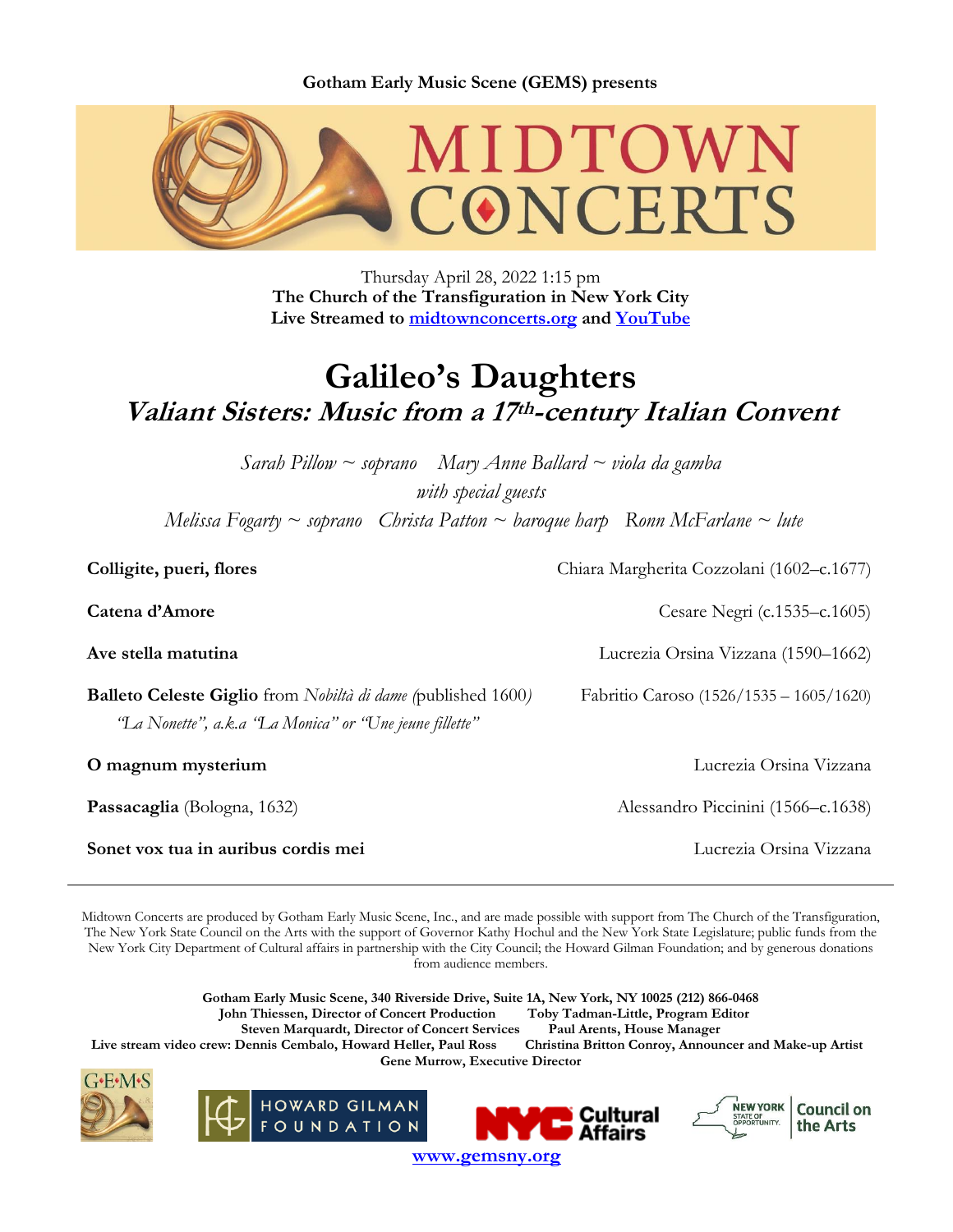**Gotham Early Music Scene (GEMS) presents**



Thursday April 28, 2022 1:15 pm **The Church of the Transfiguration in New York City Live Streamed to [midtownconcerts.org](https://gemsny.org/midtown-live) and [YouTube](https://www.youtube.com/c/MidtownConcerts/featured)**

# **Galileo's Daughters Valiant Sisters: Music from <sup>a</sup> 17 th-century Italian Convent**

*Sarah Pillow ~ soprano Mary Anne Ballard ~ viola da gamba with special guests Melissa Fogarty ~ soprano Christa Patton ~ baroque harp Ronn McFarlane ~ lute*

| Colligite, pueri, flores                                                                                                              | Chiara Margherita Cozzolani (1602–c.1677) |
|---------------------------------------------------------------------------------------------------------------------------------------|-------------------------------------------|
| Catena d'Amore                                                                                                                        | Cesare Negri (c.1535–c.1605)              |
| Ave stella matutina                                                                                                                   | Lucrezia Orsina Vizzana (1590–1662)       |
| <b>Balleto Celeste Giglio</b> from <i>Nobiltà di dame (published 1600)</i><br>"La Nonette", a.k.a "La Monica" or "Une jeune fillette" | Fabritio Caroso (1526/1535 – 1605/1620)   |
| O magnum mysterium                                                                                                                    | Lucrezia Orsina Vizzana                   |
| Passacaglia (Bologna, 1632)                                                                                                           | Alessandro Piccinini (1566–c.1638)        |
| Sonet vox tua in auribus cordis mei                                                                                                   | Lucrezia Orsina Vizzana                   |

Midtown Concerts are produced by Gotham Early Music Scene, Inc., and are made possible with support from The Church of the Transfiguration, The New York State Council on the Arts with the support of Governor Kathy Hochul and the New York State Legislature; public funds from the New York City Department of Cultural affairs in partnership with the City Council; the Howard Gilman Foundation; and by generous donations from audience members.

**Gotham Early Music Scene, 340 Riverside Drive, Suite 1A, New York, NY 10025 (212) 866-0468 John Thiessen, Director of Concert Production Toby Tadman-Little, Program Editor Steven Marquardt, Director of Concert Services Paul Arents, House Manager** Live stream video crew: Dennis Cembalo, Howard Heller, Paul Ross Christina Britton Conroy, Announcer and Make-up Artist **Gene Murrow, Executive Director**







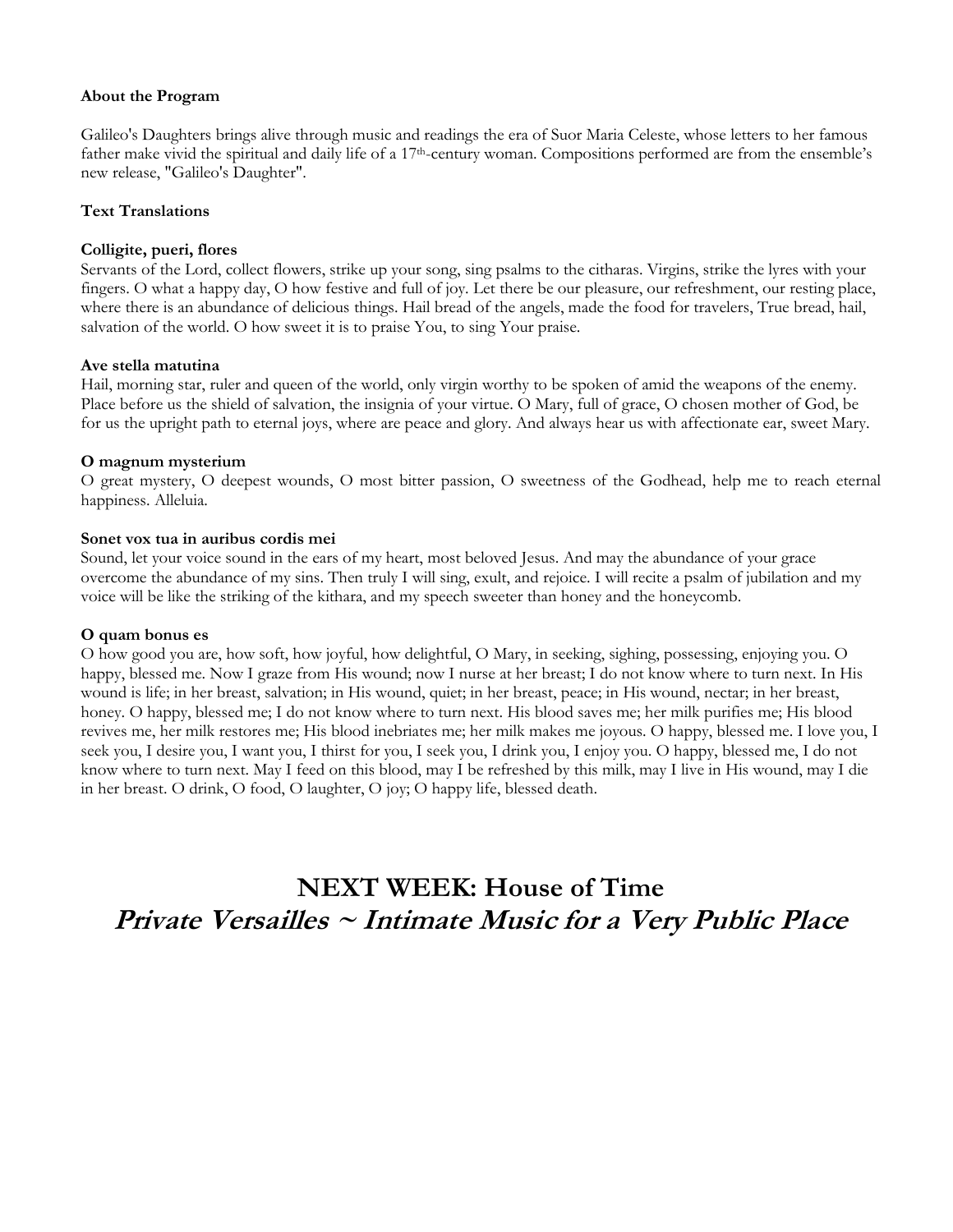#### **About the Program**

Galileo's Daughters brings alive through music and readings the era of Suor Maria Celeste, whose letters to her famous father make vivid the spiritual and daily life of a 17<sup>th</sup>-century woman. Compositions performed are from the ensemble's new release, "Galileo's Daughter".

# **Text Translations**

# **Colligite, pueri, flores**

Servants of the Lord, collect flowers, strike up your song, sing psalms to the citharas. Virgins, strike the lyres with your fingers. O what a happy day, O how festive and full of joy. Let there be our pleasure, our refreshment, our resting place, where there is an abundance of delicious things. Hail bread of the angels, made the food for travelers, True bread, hail, salvation of the world. O how sweet it is to praise You, to sing Your praise.

#### **Ave stella matutina**

Hail, morning star, ruler and queen of the world, only virgin worthy to be spoken of amid the weapons of the enemy. Place before us the shield of salvation, the insignia of your virtue. O Mary, full of grace, O chosen mother of God, be for us the upright path to eternal joys, where are peace and glory. And always hear us with affectionate ear, sweet Mary.

# **O magnum mysterium**

O great mystery, O deepest wounds, O most bitter passion, O sweetness of the Godhead, help me to reach eternal happiness. Alleluia.

# **Sonet vox tua in auribus cordis mei**

Sound, let your voice sound in the ears of my heart, most beloved Jesus. And may the abundance of your grace overcome the abundance of my sins. Then truly I will sing, exult, and rejoice. I will recite a psalm of jubilation and my voice will be like the striking of the kithara, and my speech sweeter than honey and the honeycomb.

#### **O quam bonus es**

O how good you are, how soft, how joyful, how delightful, O Mary, in seeking, sighing, possessing, enjoying you. O happy, blessed me. Now I graze from His wound; now I nurse at her breast; I do not know where to turn next. In His wound is life; in her breast, salvation; in His wound, quiet; in her breast, peace; in His wound, nectar; in her breast, honey. O happy, blessed me; I do not know where to turn next. His blood saves me; her milk purifies me; His blood revives me, her milk restores me; His blood inebriates me; her milk makes me joyous. O happy, blessed me. I love you, I seek you, I desire you, I want you, I thirst for you, I seek you, I drink you, I enjoy you. O happy, blessed me, I do not know where to turn next. May I feed on this blood, may I be refreshed by this milk, may I live in His wound, may I die in her breast. O drink, O food, O laughter, O joy; O happy life, blessed death.

# **NEXT WEEK: House of Time Private Versailles <sup>~</sup> Intimate Music for <sup>a</sup> Very Public Place**